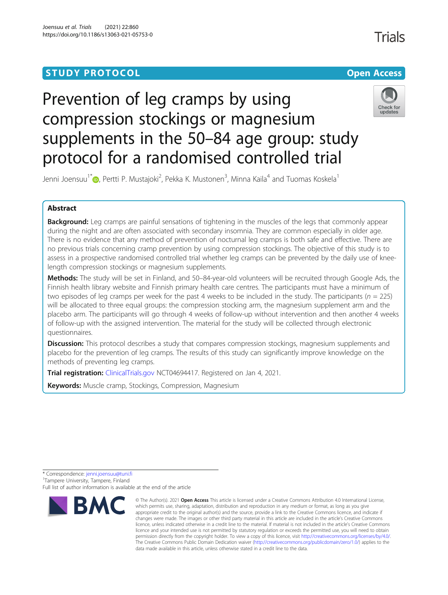# **STUDY PROTOCOL CONSUMING THE CONSUMING OPEN ACCESS**

# Prevention of leg cramps by using compression stockings or magnesium supplements in the 50–84 age group: study protocol for a randomised controlled trial



Trials

Jenni Joensuu<sup>1\*</sup>®[,](http://orcid.org/0000-0001-8331-6390) Pertti P. Mustajoki<sup>2</sup>, Pekka K. Mustonen<sup>3</sup>, Minna Kaila<sup>4</sup> and Tuomas Koskela<sup>1</sup>

## Abstract

Background: Leg cramps are painful sensations of tightening in the muscles of the legs that commonly appear during the night and are often associated with secondary insomnia. They are common especially in older age. There is no evidence that any method of prevention of nocturnal leg cramps is both safe and effective. There are no previous trials concerning cramp prevention by using compression stockings. The objective of this study is to assess in a prospective randomised controlled trial whether leg cramps can be prevented by the daily use of kneelength compression stockings or magnesium supplements.

Methods: The study will be set in Finland, and 50-84-year-old volunteers will be recruited through Google Ads, the Finnish health library website and Finnish primary health care centres. The participants must have a minimum of two episodes of leg cramps per week for the past 4 weeks to be included in the study. The participants ( $n = 225$ ) will be allocated to three equal groups: the compression stocking arm, the magnesium supplement arm and the placebo arm. The participants will go through 4 weeks of follow-up without intervention and then another 4 weeks of follow-up with the assigned intervention. The material for the study will be collected through electronic questionnaires.

Discussion: This protocol describes a study that compares compression stockings, magnesium supplements and placebo for the prevention of leg cramps. The results of this study can significantly improve knowledge on the methods of preventing leg cramps.

Trial registration: [ClinicalTrials.gov](http://clinicaltrials.gov) NCT04694417. Registered on Jan 4, 2021.

**Keywords:** Muscle cramp, Stockings, Compression, Magnesium

\* Correspondence: [jenni.joensuu@tuni.fi](mailto:jenni.joensuu@tuni.fi) <sup>1</sup> Tampere University, Tampere, Finland Full list of author information is available at the end of the article



<sup>©</sup> The Author(s), 2021 **Open Access** This article is licensed under a Creative Commons Attribution 4.0 International License, which permits use, sharing, adaptation, distribution and reproduction in any medium or format, as long as you give appropriate credit to the original author(s) and the source, provide a link to the Creative Commons licence, and indicate if changes were made. The images or other third party material in this article are included in the article's Creative Commons licence, unless indicated otherwise in a credit line to the material. If material is not included in the article's Creative Commons licence and your intended use is not permitted by statutory regulation or exceeds the permitted use, you will need to obtain permission directly from the copyright holder. To view a copy of this licence, visit [http://creativecommons.org/licenses/by/4.0/.](http://creativecommons.org/licenses/by/4.0/) The Creative Commons Public Domain Dedication waiver [\(http://creativecommons.org/publicdomain/zero/1.0/](http://creativecommons.org/publicdomain/zero/1.0/)) applies to the data made available in this article, unless otherwise stated in a credit line to the data.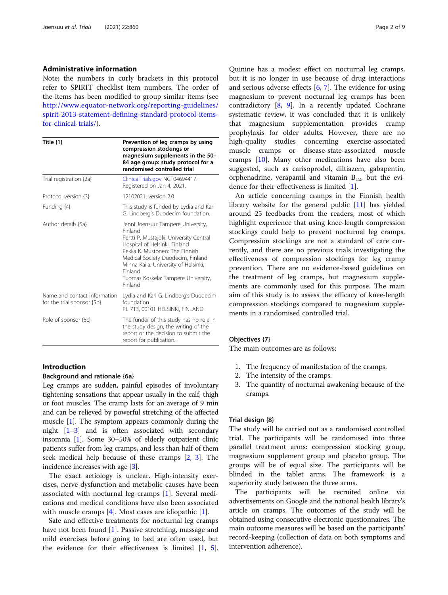#### Administrative information

Note: the numbers in curly brackets in this protocol refer to SPIRIT checklist item numbers. The order of the items has been modified to group similar items (see [http://www.equator-network.org/reporting-guidelines/](http://www.equator-network.org/reporting-guidelines/spirit-2013-statement-defining-standard-protocol-items-for-clinical-trials/) [spirit-2013-statement-defining-standard-protocol-items](http://www.equator-network.org/reporting-guidelines/spirit-2013-statement-defining-standard-protocol-items-for-clinical-trials/)[for-clinical-trials/](http://www.equator-network.org/reporting-guidelines/spirit-2013-statement-defining-standard-protocol-items-for-clinical-trials/)).

| Title $\{1\}$                                              | Prevention of leg cramps by using<br>compression stockings or<br>magnesium supplements in the 50-<br>84 age group: study protocol for a<br>randomised controlled trial                                                                                                                                |  |  |  |  |
|------------------------------------------------------------|-------------------------------------------------------------------------------------------------------------------------------------------------------------------------------------------------------------------------------------------------------------------------------------------------------|--|--|--|--|
| Trial registration {2a}                                    | ClinicalTrials.gov NCT04694417.<br>Registered on Jan 4, 2021.                                                                                                                                                                                                                                         |  |  |  |  |
| Protocol version {3}                                       | 12102021, version 2.0                                                                                                                                                                                                                                                                                 |  |  |  |  |
| Funding {4}                                                | This study is funded by Lydia and Karl<br>G. Lindberg's Duodecim foundation.                                                                                                                                                                                                                          |  |  |  |  |
| Author details {5a}                                        | Jenni Joensuu: Tampere University,<br>Finland<br>Pertti P. Mustajoki: University Central<br>Hospital of Helsinki, Finland<br>Pekka K. Mustonen: The Finnish<br>Medical Society Duodecim, Finland<br>Minna Kaila: University of Helsinki,<br>Finland<br>Tuomas Koskela: Tampere University,<br>Finland |  |  |  |  |
| Name and contact information<br>for the trial sponsor {5b} | Lydia and Karl G. Lindberg's Duodecim<br>foundation<br>PL 713, 00101 HELSINKI, FINLAND                                                                                                                                                                                                                |  |  |  |  |
| Role of sponsor {5c}                                       | The funder of this study has no role in<br>the study design, the writing of the<br>report or the decision to submit the<br>report for publication.                                                                                                                                                    |  |  |  |  |

## Introduction

#### Background and rationale {6a}

Leg cramps are sudden, painful episodes of involuntary tightening sensations that appear usually in the calf, thigh or foot muscles. The cramp lasts for an average of 9 min and can be relieved by powerful stretching of the affected muscle [[1\]](#page-8-0). The symptom appears commonly during the night [\[1](#page-8-0)–[3](#page-8-0)] and is often associated with secondary insomnia [\[1](#page-8-0)]. Some 30–50% of elderly outpatient clinic patients suffer from leg cramps, and less than half of them seek medical help because of these cramps [[2,](#page-8-0) [3](#page-8-0)]. The incidence increases with age [\[3\]](#page-8-0).

The exact aetiology is unclear. High-intensity exercises, nerve dysfunction and metabolic causes have been associated with nocturnal leg cramps [[1](#page-8-0)]. Several medications and medical conditions have also been associated with muscle cramps [[4\]](#page-8-0). Most cases are idiopathic [[1\]](#page-8-0).

Safe and effective treatments for nocturnal leg cramps have not been found [[1\]](#page-8-0). Passive stretching, massage and mild exercises before going to bed are often used, but the evidence for their effectiveness is limited [\[1](#page-8-0), [5](#page-8-0)].

Quinine has a modest effect on nocturnal leg cramps, but it is no longer in use because of drug interactions and serious adverse effects [\[6](#page-8-0), [7\]](#page-8-0). The evidence for using magnesium to prevent nocturnal leg cramps has been contradictory [\[8](#page-8-0), [9](#page-8-0)]. In a recently updated Cochrane systematic review, it was concluded that it is unlikely that magnesium supplementation provides cramp prophylaxis for older adults. However, there are no high-quality studies concerning exercise-associated muscle cramps or disease-state-associated muscle cramps [[10\]](#page-8-0). Many other medications have also been suggested, such as carisoprodol, diltiazem, gabapentin, orphenadrine, verapamil and vitamin  $B_{12}$ , but the evidence for their effectiveness is limited [[1\]](#page-8-0).

An article concerning cramps in the Finnish health library website for the general public [\[11](#page-8-0)] has yielded around 25 feedbacks from the readers, most of which highlight experience that using knee-length compression stockings could help to prevent nocturnal leg cramps. Compression stockings are not a standard of care currently, and there are no previous trials investigating the effectiveness of compression stockings for leg cramp prevention. There are no evidence-based guidelines on the treatment of leg cramps, but magnesium supplements are commonly used for this purpose. The main aim of this study is to assess the efficacy of knee-length compression stockings compared to magnesium supplements in a randomised controlled trial.

## Objectives {7}

The main outcomes are as follows:

- 1. The frequency of manifestation of the cramps.
- 2. The intensity of the cramps.
- 3. The quantity of nocturnal awakening because of the cramps.

## Trial design {8}

The study will be carried out as a randomised controlled trial. The participants will be randomised into three parallel treatment arms: compression stocking group, magnesium supplement group and placebo group. The groups will be of equal size. The participants will be blinded in the tablet arms. The framework is a superiority study between the three arms.

The participants will be recruited online via advertisements on Google and the national health library's article on cramps. The outcomes of the study will be obtained using consecutive electronic questionnaires. The main outcome measures will be based on the participants' record-keeping (collection of data on both symptoms and intervention adherence).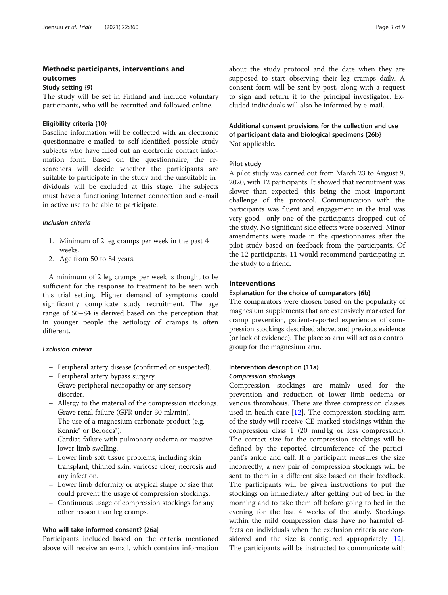## Methods: participants, interventions and outcomes

## Study setting {9}

The study will be set in Finland and include voluntary participants, who will be recruited and followed online.

#### Eligibility criteria {10}

Baseline information will be collected with an electronic questionnaire e-mailed to self-identified possible study subjects who have filled out an electronic contact information form. Based on the questionnaire, the researchers will decide whether the participants are suitable to participate in the study and the unsuitable individuals will be excluded at this stage. The subjects must have a functioning Internet connection and e-mail in active use to be able to participate.

## Inclusion criteria

- 1. Minimum of 2 leg cramps per week in the past 4 weeks.
- 2. Age from 50 to 84 years.

A minimum of 2 leg cramps per week is thought to be sufficient for the response to treatment to be seen with this trial setting. Higher demand of symptoms could significantly complicate study recruitment. The age range of 50–84 is derived based on the perception that in younger people the aetiology of cramps is often different.

## Exclusion criteria

- Peripheral artery disease (confirmed or suspected).
- Peripheral artery bypass surgery.
- Grave peripheral neuropathy or any sensory disorder.
- Allergy to the material of the compression stockings.
- Grave renal failure (GFR under 30 ml/min).
- The use of a magnesium carbonate product (e.g. Rennie® or Berocca®).
- Cardiac failure with pulmonary oedema or massive lower limb swelling.
- Lower limb soft tissue problems, including skin transplant, thinned skin, varicose ulcer, necrosis and any infection.
- Lower limb deformity or atypical shape or size that could prevent the usage of compression stockings.
- Continuous usage of compression stockings for any other reason than leg cramps.

### Who will take informed consent? {26a}

Participants included based on the criteria mentioned above will receive an e-mail, which contains information

about the study protocol and the date when they are supposed to start observing their leg cramps daily. A consent form will be sent by post, along with a request to sign and return it to the principal investigator. Excluded individuals will also be informed by e-mail.

Additional consent provisions for the collection and use of participant data and biological specimens {26b} Not applicable.

#### Pilot study

A pilot study was carried out from March 23 to August 9, 2020, with 12 participants. It showed that recruitment was slower than expected, this being the most important challenge of the protocol. Communication with the participants was fluent and engagement in the trial was very good—only one of the participants dropped out of the study. No significant side effects were observed. Minor amendments were made in the questionnaires after the pilot study based on feedback from the participants. Of the 12 participants, 11 would recommend participating in the study to a friend.

## Interventions

#### Explanation for the choice of comparators {6b}

The comparators were chosen based on the popularity of magnesium supplements that are extensively marketed for cramp prevention, patient-reported experiences of compression stockings described above, and previous evidence (or lack of evidence). The placebo arm will act as a control group for the magnesium arm.

## Intervention description {11a} Compression stockings

Compression stockings are mainly used for the prevention and reduction of lower limb oedema or venous thrombosis. There are three compression classes used in health care  $[12]$  $[12]$ . The compression stocking arm of the study will receive CE-marked stockings within the compression class 1 (20 mmHg or less compression). The correct size for the compression stockings will be defined by the reported circumference of the participant's ankle and calf. If a participant measures the size incorrectly, a new pair of compression stockings will be sent to them in a different size based on their feedback. The participants will be given instructions to put the stockings on immediately after getting out of bed in the morning and to take them off before going to bed in the evening for the last 4 weeks of the study. Stockings within the mild compression class have no harmful effects on individuals when the exclusion criteria are con-sidered and the size is configured appropriately [\[12](#page-8-0)]. The participants will be instructed to communicate with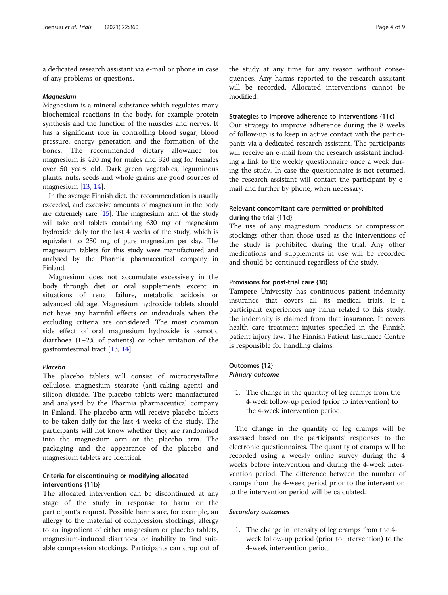a dedicated research assistant via e-mail or phone in case of any problems or questions.

#### Magnesium

Magnesium is a mineral substance which regulates many biochemical reactions in the body, for example protein synthesis and the function of the muscles and nerves. It has a significant role in controlling blood sugar, blood pressure, energy generation and the formation of the bones. The recommended dietary allowance for magnesium is 420 mg for males and 320 mg for females over 50 years old. Dark green vegetables, leguminous plants, nuts, seeds and whole grains are good sources of magnesium [[13,](#page-8-0) [14](#page-8-0)].

In the average Finnish diet, the recommendation is usually exceeded, and excessive amounts of magnesium in the body are extremely rare [\[15](#page-8-0)]. The magnesium arm of the study will take oral tablets containing 630 mg of magnesium hydroxide daily for the last 4 weeks of the study, which is equivalent to 250 mg of pure magnesium per day. The magnesium tablets for this study were manufactured and analysed by the Pharmia pharmaceutical company in Finland.

Magnesium does not accumulate excessively in the body through diet or oral supplements except in situations of renal failure, metabolic acidosis or advanced old age. Magnesium hydroxide tablets should not have any harmful effects on individuals when the excluding criteria are considered. The most common side effect of oral magnesium hydroxide is osmotic diarrhoea (1–2% of patients) or other irritation of the gastrointestinal tract [[13,](#page-8-0) [14\]](#page-8-0).

#### Placebo

The placebo tablets will consist of microcrystalline cellulose, magnesium stearate (anti-caking agent) and silicon dioxide. The placebo tablets were manufactured and analysed by the Pharmia pharmaceutical company in Finland. The placebo arm will receive placebo tablets to be taken daily for the last 4 weeks of the study. The participants will not know whether they are randomised into the magnesium arm or the placebo arm. The packaging and the appearance of the placebo and magnesium tablets are identical.

## Criteria for discontinuing or modifying allocated interventions {11b}

The allocated intervention can be discontinued at any stage of the study in response to harm or the participant's request. Possible harms are, for example, an allergy to the material of compression stockings, allergy to an ingredient of either magnesium or placebo tablets, magnesium-induced diarrhoea or inability to find suitable compression stockings. Participants can drop out of

the study at any time for any reason without consequences. Any harms reported to the research assistant will be recorded. Allocated interventions cannot be modified.

#### Strategies to improve adherence to interventions {11c}

Our strategy to improve adherence during the 8 weeks of follow-up is to keep in active contact with the participants via a dedicated research assistant. The participants will receive an e-mail from the research assistant including a link to the weekly questionnaire once a week during the study. In case the questionnaire is not returned, the research assistant will contact the participant by email and further by phone, when necessary.

## Relevant concomitant care permitted or prohibited during the trial {11d}

The use of any magnesium products or compression stockings other than those used as the interventions of the study is prohibited during the trial. Any other medications and supplements in use will be recorded and should be continued regardless of the study.

#### Provisions for post-trial care {30}

Tampere University has continuous patient indemnity insurance that covers all its medical trials. If a participant experiences any harm related to this study, the indemnity is claimed from that insurance. It covers health care treatment injuries specified in the Finnish patient injury law. The Finnish Patient Insurance Centre is responsible for handling claims.

## Outcomes {12} Primary outcome

1. The change in the quantity of leg cramps from the 4-week follow-up period (prior to intervention) to the 4-week intervention period.

The change in the quantity of leg cramps will be assessed based on the participants' responses to the electronic questionnaires. The quantity of cramps will be recorded using a weekly online survey during the 4 weeks before intervention and during the 4-week intervention period. The difference between the number of cramps from the 4-week period prior to the intervention to the intervention period will be calculated.

## Secondary outcomes

1. The change in intensity of leg cramps from the 4 week follow-up period (prior to intervention) to the 4-week intervention period.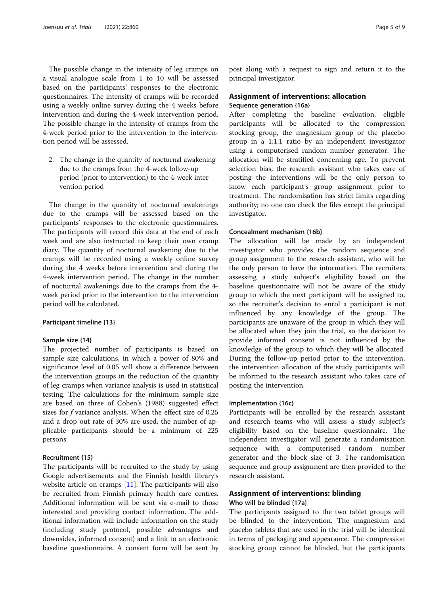The possible change in the intensity of leg cramps on a visual analogue scale from 1 to 10 will be assessed based on the participants' responses to the electronic questionnaires. The intensity of cramps will be recorded using a weekly online survey during the 4 weeks before intervention and during the 4-week intervention period. The possible change in the intensity of cramps from the 4-week period prior to the intervention to the intervention period will be assessed.

2. The change in the quantity of nocturnal awakening due to the cramps from the 4-week follow-up period (prior to intervention) to the 4-week intervention period

The change in the quantity of nocturnal awakenings due to the cramps will be assessed based on the participants' responses to the electronic questionnaires. The participants will record this data at the end of each week and are also instructed to keep their own cramp diary. The quantity of nocturnal awakening due to the cramps will be recorded using a weekly online survey during the 4 weeks before intervention and during the 4-week intervention period. The change in the number of nocturnal awakenings due to the cramps from the 4 week period prior to the intervention to the intervention period will be calculated.

#### Participant timeline {13}

## Sample size {14}

The projected number of participants is based on sample size calculations, in which a power of 80% and significance level of 0.05 will show a difference between the intervention groups in the reduction of the quantity of leg cramps when variance analysis is used in statistical testing. The calculations for the minimum sample size are based on three of Cohen's (1988) suggested effect sizes for f variance analysis. When the effect size of 0.25 and a drop-out rate of 30% are used, the number of applicable participants should be a minimum of 225 persons.

#### Recruitment {15}

The participants will be recruited to the study by using Google advertisements and the Finnish health library's website article on cramps [\[11\]](#page-8-0). The participants will also be recruited from Finnish primary health care centres. Additional information will be sent via e-mail to those interested and providing contact information. The additional information will include information on the study (including study protocol, possible advantages and downsides, informed consent) and a link to an electronic baseline questionnaire. A consent form will be sent by

post along with a request to sign and return it to the principal investigator.

## Assignment of interventions: allocation Sequence generation {16a}

After completing the baseline evaluation, eligible participants will be allocated to the compression stocking group, the magnesium group or the placebo group in a 1:1:1 ratio by an independent investigator using a computerised random number generator. The allocation will be stratified concerning age. To prevent selection bias, the research assistant who takes care of posting the interventions will be the only person to know each participant's group assignment prior to treatment. The randomisation has strict limits regarding authority; no one can check the files except the principal investigator.

#### Concealment mechanism {16b}

The allocation will be made by an independent investigator who provides the random sequence and group assignment to the research assistant, who will be the only person to have the information. The recruiters assessing a study subject's eligibility based on the baseline questionnaire will not be aware of the study group to which the next participant will be assigned to, so the recruiter's decision to enrol a participant is not influenced by any knowledge of the group. The participants are unaware of the group in which they will be allocated when they join the trial, so the decision to provide informed consent is not influenced by the knowledge of the group to which they will be allocated. During the follow-up period prior to the intervention, the intervention allocation of the study participants will be informed to the research assistant who takes care of posting the intervention.

## Implementation {16c}

Participants will be enrolled by the research assistant and research teams who will assess a study subject's eligibility based on the baseline questionnaire. The independent investigator will generate a randomisation sequence with a computerised random number generator and the block size of 3. The randomisation sequence and group assignment are then provided to the research assistant.

## Assignment of interventions: blinding Who will be blinded {17a}

The participants assigned to the two tablet groups will be blinded to the intervention. The magnesium and placebo tablets that are used in the trial will be identical in terms of packaging and appearance. The compression stocking group cannot be blinded, but the participants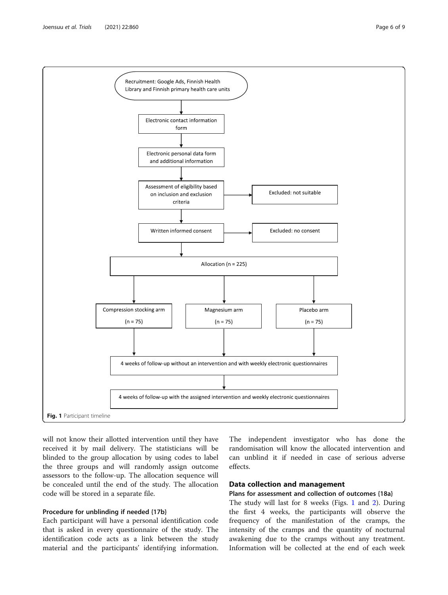

will not know their allotted intervention until they have received it by mail delivery. The statisticians will be blinded to the group allocation by using codes to label the three groups and will randomly assign outcome assessors to the follow-up. The allocation sequence will be concealed until the end of the study. The allocation code will be stored in a separate file.

## Procedure for unblinding if needed {17b}

Each participant will have a personal identification code that is asked in every questionnaire of the study. The identification code acts as a link between the study material and the participants' identifying information.

The independent investigator who has done the randomisation will know the allocated intervention and can unblind it if needed in case of serious adverse effects.

## Data collection and management

Plans for assessment and collection of outcomes {18a}

The study will last for 8 weeks (Figs. 1 and [2](#page-6-0)). During the first 4 weeks, the participants will observe the frequency of the manifestation of the cramps, the intensity of the cramps and the quantity of nocturnal awakening due to the cramps without any treatment. Information will be collected at the end of each week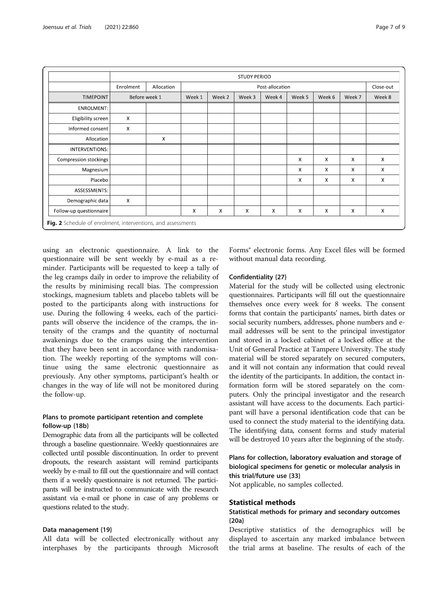<span id="page-6-0"></span>

|                                                              | <b>STUDY PERIOD</b> |            |                 |        |        |        |                           |          |              |           |
|--------------------------------------------------------------|---------------------|------------|-----------------|--------|--------|--------|---------------------------|----------|--------------|-----------|
|                                                              | Enrolment           | Allocation | Post-allocation |        |        |        |                           |          |              | Close-out |
| <b>TIMEPOINT</b>                                             | Before week 1       |            | Week 1          | Week 2 | Week 3 | Week 4 | Week 5                    | Week 6   | Week 7       | Week 8    |
| ENROLMENT:                                                   |                     |            |                 |        |        |        |                           |          |              |           |
| Eligibility screen                                           | X                   |            |                 |        |        |        |                           |          |              |           |
| Informed consent                                             | X                   |            |                 |        |        |        |                           |          |              |           |
| Allocation                                                   |                     | X          |                 |        |        |        |                           |          |              |           |
| INTERVENTIONS:                                               |                     |            |                 |        |        |        |                           |          |              |           |
| Compression stockings                                        |                     |            |                 |        |        |        | X                         | $\times$ | X            | X         |
| Magnesium                                                    |                     |            |                 |        |        |        | X                         | $\times$ | X            | X         |
| Placebo                                                      |                     |            |                 |        |        |        | $\boldsymbol{\mathsf{X}}$ | $\times$ | $\mathsf{X}$ | X         |
| ASSESSMENTS:                                                 |                     |            |                 |        |        |        |                           |          |              |           |
| Demographic data                                             | X                   |            |                 |        |        |        |                           |          |              |           |
| Follow-up questionnaire                                      |                     |            | X               | X      | X      | X      | X                         | $\times$ | X            | X         |
| Fig. 2 Schedule of enrolment, interventions, and assessments |                     |            |                 |        |        |        |                           |          |              |           |

using an electronic questionnaire. A link to the questionnaire will be sent weekly by e-mail as a reminder. Participants will be requested to keep a tally of the leg cramps daily in order to improve the reliability of the results by minimising recall bias. The compression stockings, magnesium tablets and placebo tablets will be posted to the participants along with instructions for use. During the following 4 weeks, each of the participants will observe the incidence of the cramps, the intensity of the cramps and the quantity of nocturnal awakenings due to the cramps using the intervention that they have been sent in accordance with randomisation. The weekly reporting of the symptoms will continue using the same electronic questionnaire as previously. Any other symptoms, participant's health or changes in the way of life will not be monitored during the follow-up.

## Plans to promote participant retention and complete follow-up {18b}

Demographic data from all the participants will be collected through a baseline questionnaire. Weekly questionnaires are collected until possible discontinuation. In order to prevent dropouts, the research assistant will remind participants weekly by e-mail to fill out the questionnaire and will contact them if a weekly questionnaire is not returned. The participants will be instructed to communicate with the research assistant via e-mail or phone in case of any problems or questions related to the study.

#### Data management {19}

All data will be collected electronically without any interphases by the participants through Microsoft

Forms® electronic forms. Any Excel files will be formed without manual data recording.

#### Confidentiality {27}

Material for the study will be collected using electronic questionnaires. Participants will fill out the questionnaire themselves once every week for 8 weeks. The consent forms that contain the participants' names, birth dates or social security numbers, addresses, phone numbers and email addresses will be sent to the principal investigator and stored in a locked cabinet of a locked office at the Unit of General Practice at Tampere University. The study material will be stored separately on secured computers, and it will not contain any information that could reveal the identity of the participants. In addition, the contact information form will be stored separately on the computers. Only the principal investigator and the research assistant will have access to the documents. Each participant will have a personal identification code that can be used to connect the study material to the identifying data. The identifying data, consent forms and study material will be destroyed 10 years after the beginning of the study.

## Plans for collection, laboratory evaluation and storage of biological specimens for genetic or molecular analysis in this trial/future use {33}

Not applicable, no samples collected.

#### Statistical methods

## Statistical methods for primary and secondary outcomes {20a}

Descriptive statistics of the demographics will be displayed to ascertain any marked imbalance between the trial arms at baseline. The results of each of the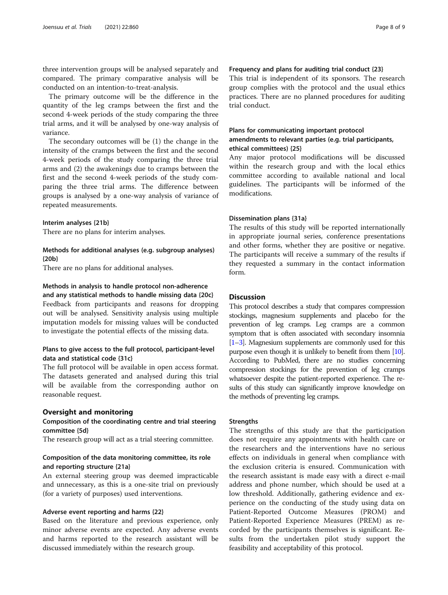three intervention groups will be analysed separately and compared. The primary comparative analysis will be conducted on an intention-to-treat-analysis.

The primary outcome will be the difference in the quantity of the leg cramps between the first and the second 4-week periods of the study comparing the three trial arms, and it will be analysed by one-way analysis of variance.

The secondary outcomes will be (1) the change in the intensity of the cramps between the first and the second 4-week periods of the study comparing the three trial arms and (2) the awakenings due to cramps between the first and the second 4-week periods of the study comparing the three trial arms. The difference between groups is analysed by a one-way analysis of variance of repeated measurements.

#### Interim analyses {21b}

There are no plans for interim analyses.

## Methods for additional analyses (e.g. subgroup analyses) {20b}

There are no plans for additional analyses.

## Methods in analysis to handle protocol non-adherence

and any statistical methods to handle missing data {20c} Feedback from participants and reasons for dropping out will be analysed. Sensitivity analysis using multiple imputation models for missing values will be conducted to investigate the potential effects of the missing data.

## Plans to give access to the full protocol, participant-level data and statistical code {31c}

The full protocol will be available in open access format. The datasets generated and analysed during this trial will be available from the corresponding author on reasonable request.

#### Oversight and monitoring

## Composition of the coordinating centre and trial steering committee {5d}

The research group will act as a trial steering committee.

## Composition of the data monitoring committee, its role and reporting structure {21a}

An external steering group was deemed impracticable and unnecessary, as this is a one-site trial on previously (for a variety of purposes) used interventions.

## Adverse event reporting and harms {22}

Based on the literature and previous experience, only minor adverse events are expected. Any adverse events and harms reported to the research assistant will be discussed immediately within the research group.

#### Frequency and plans for auditing trial conduct {23}

This trial is independent of its sponsors. The research group complies with the protocol and the usual ethics practices. There are no planned procedures for auditing trial conduct.

## Plans for communicating important protocol amendments to relevant parties (e.g. trial participants, ethical committees) {25}

Any major protocol modifications will be discussed within the research group and with the local ethics committee according to available national and local guidelines. The participants will be informed of the modifications.

#### Dissemination plans {31a}

The results of this study will be reported internationally in appropriate journal series, conference presentations and other forms, whether they are positive or negative. The participants will receive a summary of the results if they requested a summary in the contact information form.

## **Discussion**

This protocol describes a study that compares compression stockings, magnesium supplements and placebo for the prevention of leg cramps. Leg cramps are a common symptom that is often associated with secondary insomnia [[1](#page-8-0)–[3](#page-8-0)]. Magnesium supplements are commonly used for this purpose even though it is unlikely to benefit from them [\[10\]](#page-8-0). According to PubMed, there are no studies concerning compression stockings for the prevention of leg cramps whatsoever despite the patient-reported experience. The results of this study can significantly improve knowledge on the methods of preventing leg cramps.

#### **Strengths**

The strengths of this study are that the participation does not require any appointments with health care or the researchers and the interventions have no serious effects on individuals in general when compliance with the exclusion criteria is ensured. Communication with the research assistant is made easy with a direct e-mail address and phone number, which should be used at a low threshold. Additionally, gathering evidence and experience on the conducting of the study using data on Patient-Reported Outcome Measures (PROM) and Patient-Reported Experience Measures (PREM) as recorded by the participants themselves is significant. Results from the undertaken pilot study support the feasibility and acceptability of this protocol.